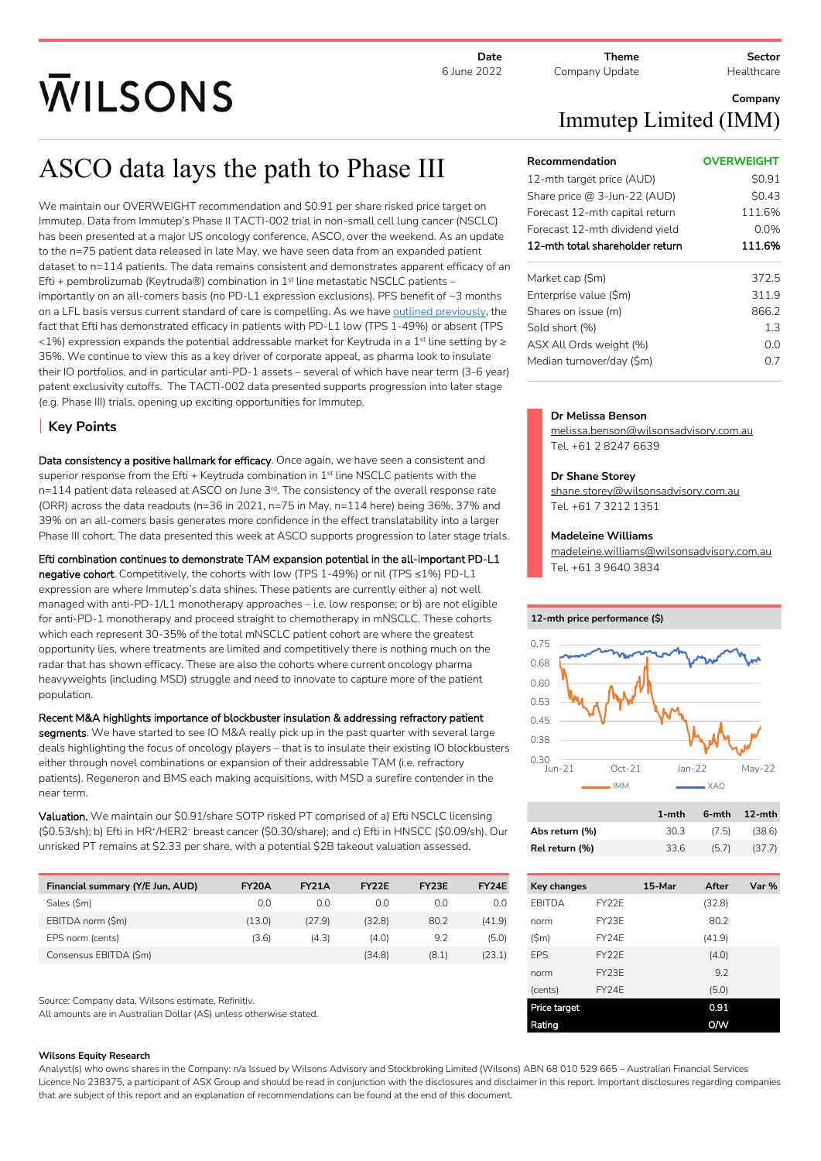**Date** 6 June 2022

**Theme** Company Update **Sector**

**Healthcare** 

# **WILSONS**

# ASCO data lays the path to Phase III

We maintain our OVERWEIGHT recommendation and \$0.91 per share risked price target on Immutep. Data from Immutep's Phase II TACTI-002 trial in non-small cell lung cancer (NSCLC) has been presented at a major US oncology conference, ASCO, over the weekend. As an update to the n=75 patient data released in late May, we have seen data from an expanded patient dataset to n=114 patients. The data remains consistent and demonstrates apparent efficacy of an Efti + pembrolizumab (Keytruda®) combination in  $1<sup>st</sup>$  line metastatic NSCLC patients – importantly on an all-comers basis (no PD-L1 expression exclusions). PFS benefit of ~3 months on a LFL basis versus current standard of care is compelling. As we have [outlined previously](https://aus01.safelinks.protection.outlook.com/?url=https%3A%2F%2Fmcusercontent.com%2F15f5678e4d163256d9398bc8a%2Ffiles%2Fa15ed6c2-f470-5e05-ce27-cecd08d6f55d%2FEquity_Research_Alert_IMM_29_April_2022.pdf&data=05%7C01%7CMelissa.Benson%40wilsonsadvisory.com.au%7C4db70bf347f84b863e8d08da297138e6%7Ce636eee95e214de18856a25606230dca%7C0%7C0%7C637867863514454618%7CUnknown%7CTWFpbGZsb3d8eyJWIjoiMC4wLjAwMDAiLCJQIjoiV2luMzIiLCJBTiI6Ik1haWwiLCJXVCI6Mn0%3D%7C3000%7C%7C%7C&sdata=lAE5umNYqQAUrlZpKC3%2BxSLof1UOL1RaLEefmnjlwsQ%3D&reserved=0), the fact that Efti has demonstrated efficacy in patients with PD-L1 low (TPS 1-49%) or absent (TPS <1%) expression expands the potential addressable market for Keytruda in a 1<sup>st</sup> line setting by ≥ 35%. We continue to view this as a key driver of corporate appeal, as pharma look to insulate their IO portfolios, and in particular anti-PD-1 assets – several of which have near term (3-6 year) patent exclusivity cutoffs. The TACTI-002 data presented supports progression into later stage (e.g. Phase III) trials, opening up exciting opportunities for Immutep.

# **Key Points**

**Data consistency a positive hallmark for efficacy**. Once again, we have seen a consistent and superior response from the Efti + Keytruda combination in 1<sup>st</sup> line NSCLC patients with the n=114 patient data released at ASCO on June 3<sup>rd</sup>. The consistency of the overall response rate (ORR) across the data readouts (n=36 in 2021, n=75 in May, n=114 here) being 36%, 37% and 39% on an all-comers basis generates more confidence in the effect translatability into a larger Phase III cohort. The data presented this week at ASCO supports progression to later stage trials.

**Efti combination continues to demonstrate TAM expansion potential in the all-important PD-L1 negative cohort**. Competitively, the cohorts with low (TPS 1-49%) or nil (TPS ≤1%) PD-L1 expression are where Immutep's data shines. These patients are currently either a) not well managed with anti-PD-1/L1 monotherapy approaches – i.e. low response; or b) are not eligible for anti-PD-1 monotherapy and proceed straight to chemotherapy in mNSCLC. These cohorts which each represent 30-35% of the total mNSCLC patient cohort are where the greatest opportunity lies, where treatments are limited and competitively there is nothing much on the radar that has shown efficacy. These are also the cohorts where current oncology pharma heavyweights (including MSD) struggle and need to innovate to capture more of the patient population.

**Recent M&A highlights importance of blockbuster insulation & addressing refractory patient segments**. We have started to see IO M&A really pick up in the past quarter with several large deals highlighting the focus of oncology players – that is to insulate their existing IO blockbusters either through novel combinations or expansion of their addressable TAM (i.e. refractory patients). Regeneron and BMS each making acquisitions, with MSD a surefire contender in the near term.

**Valuation.** We maintain our \$0.91/share SOTP risked PT comprised of a) Efti NSCLC licensing (\$0.53/sh); b) Efti in HR<sup>+</sup> /HER2- breast cancer (\$0.30/share); and c) Efti in HNSCC (\$0.09/sh). Our unrisked PT remains at \$2.33 per share, with a potential \$2B takeout valuation assessed.

| Financial summary (Y/E Jun, AUD) | <b>FY20A</b> | <b>FY21A</b> | FY <sub>2</sub> <sub>2</sub> F | FY <sub>23</sub> F | FY24E  |
|----------------------------------|--------------|--------------|--------------------------------|--------------------|--------|
| Sales (\$m)                      | 0.0          | 0.0          | 0.0                            | 0.0                | 0.0    |
| EBITDA norm (\$m)                | (13.0)       | (27.9)       | (32.8)                         | 80.2               | (41.9) |
| EPS norm (cents)                 | (3.6)        | (4.3)        | (4.0)                          | 9.2                | (5.0)  |
| Consensus EBITDA (\$m)           |              |              | (34.8)                         | (8.1)              | (23.1) |

Source: Company data, Wilsons estimate, Refinitiv.

All amounts are in Australian Dollar (A\$) unless otherwise stated.

### **Wilsons Equity Research**

Analyst(s) who owns shares in the Company: n/a Issued by Wilsons Advisory and Stockbroking Limited (Wilsons) ABN 68 010 529 665 – Australian Financial Services Licence No 238375, a participant of ASX Group and should be read in conjunction with the disclosures and disclaimer in this report. Important disclosures regarding companies that are subject of this report and an explanation of recommendations can be found at the end of this document.

# **Company** Immutep Limited (IMM)

| Recommendation                  | <b>OVERWEIGHT</b> |
|---------------------------------|-------------------|
| 12-mth target price (AUD)       | \$0.91            |
| Share price @ 3-Jun-22 (AUD)    | \$0.43            |
| Forecast 12-mth capital return  | 111.6%            |
| Forecast 12-mth dividend yield  | 0.0%              |
| 12-mth total shareholder return | 111.6%            |
| Market cap (\$m)                | 372.5             |
| Enterprise value (\$m)          | 311.9             |
| Shares on issue (m)             | 866.2             |
| Sold short (%)                  | 1.3               |
| ASX All Ords weight (%)         | 0 O               |
| Median turnover/day (\$m)       | በ 7               |
|                                 |                   |

### **Dr Melissa Benson**

melissa.benson@wilsonsadvisory.com.au Tel. +61 2 8247 6639

## **Dr Shane Storey**

shane.storey@wilsonsadvisory.com.au Tel. +61 7 3212 1351

## **Madeleine Williams**

madeleine.williams@wilsonsadvisory.com.au Tel. +61 3 9640 3834

# **12-mth price performance (\$)**



|                | 1-mth |       | 6-mth 12-mth |
|----------------|-------|-------|--------------|
| Abs return (%) | 30.3  | (7.5) | (38.6)       |
| Rel return (%) | 33.6  | (5.7) | (37.7)       |

| Key changes   |                                | 15-Mar | After  | Var % |
|---------------|--------------------------------|--------|--------|-------|
| <b>FBITDA</b> | FY <sub>2</sub> <sub>2</sub> F |        | (32.8) |       |
| norm          | FY <sub>23</sub> F             |        | 80.2   |       |
| (Sm)          | FY <sub>24</sub> F             |        | (41.9) |       |
| <b>FPS</b>    | FY <sub>2</sub> 2F             |        | (4.0)  |       |
| norm          | FY <sub>23</sub> F             |        | 9.2    |       |
| (cents)       | FY <sub>24</sub> F             |        | (5.0)  |       |
| Price target  |                                |        | 0.91   |       |
| Rating        |                                |        | ow     |       |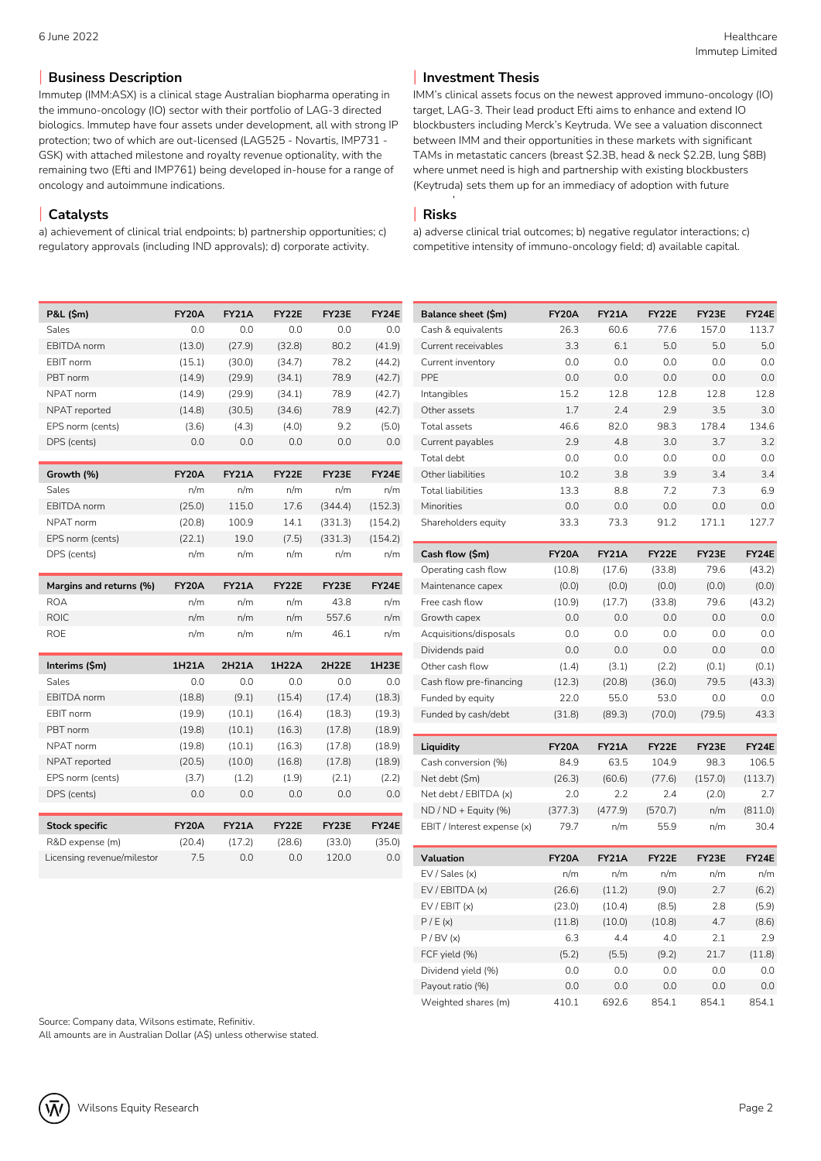# **Business Description**

Immutep (IMM:ASX) is a clinical stage Australian biopharma operating in the immuno-oncology (IO) sector with their portfolio of LAG-3 directed biologics. Immutep have four assets under development, all with strong IP protection; two of which are out-licensed (LAG525 - Novartis, IMP731 - GSK) with attached milestone and royalty revenue optionality, with the remaining two (Efti and IMP761) being developed in-house for a range of oncology and autoimmune indications.

# **Catalysts**

a) achievement of clinical trial endpoints; b) partnership opportunities; c) regulatory approvals (including IND approvals); d) corporate activity.

| P&L (\$m)          | <b>FY20A</b> | <b>FY21A</b> | <b>FY22E</b> | FY23E   | <b>FY24E</b> |
|--------------------|--------------|--------------|--------------|---------|--------------|
| Sales              | 0.0          | 0.0          | 0.0          | 0.0     | 0.0          |
| <b>EBITDA</b> norm | (13.0)       | (27.9)       | (32.8)       | 80.2    | (41.9)       |
| FBIT norm          | (15.1)       | (30.0)       | (34.7)       | 78.2    | (44.2)       |
| PBT norm           | (14.9)       | (29.9)       | (34.1)       | 78.9    | (42.7)       |
| NPAT norm          | (14.9)       | (29.9)       | (34.1)       | 78.9    | (42.7)       |
| NPAT reported      | (14.8)       | (30.5)       | (34.6)       | 78.9    | (42.7)       |
| EPS norm (cents)   | (3.6)        | (4.3)        | (4.0)        | 9.2     | (5.0)        |
| DPS (cents)        | 0.0          | 0.0          | 0.0          | 0.0     | 0.0          |
|                    |              |              |              |         |              |
| Growth (%)         | <b>FY20A</b> | <b>FY21A</b> | FY22E        | FY23E   | <b>FY24E</b> |
| Sales              | n/m          | n/m          | n/m          | n/m     | n/m          |
| <b>EBITDA</b> norm | (25.0)       | 115.0        | 17.6         | (344.4) | (152.3)      |
| NPAT norm          | (20.8)       | 100.9        | 14.1         | (331.3) | (154.2)      |
| EPS norm (cents)   | (22.1)       | 19.0         | (7.5)        | (331.3) | (154.2)      |

| Margins and returns (%) | FY20A | FY21A | FY22E | FY23E | FY24E |
|-------------------------|-------|-------|-------|-------|-------|
| <b>ROA</b>              | n/m   | n/m   | n/m   | 43.8  | n/m   |
| ROIC.                   | n/m   | n/m   | n/m   | 557.6 | n/m   |
| <b>ROF</b>              | n/m   | n/m   | n/m   | 46.1  | n/m   |

DPS (cents) n/m n/m n/m n/m n/m

| Interims (\$m)             | 1H21A        | 2H21A        | 1H22A  | 2H22E  | 1H23E        |
|----------------------------|--------------|--------------|--------|--------|--------------|
| Sales                      | 0.0          | 0.0          | 0.0    | 0.0    | 0.0          |
| FBITDA norm                | (18.8)       | (9.1)        | (15.4) | (17.4) | (18.3)       |
| FBIT norm                  | (19.9)       | (10.1)       | (16.4) | (18.3) | (19.3)       |
| PBT norm                   | (19.8)       | (10.1)       | (16.3) | (17.8) | (18.9)       |
| NPAT norm                  | (19.8)       | (10.1)       | (16.3) | (17.8) | (18.9)       |
| NPAT reported              | (20.5)       | (10.0)       | (16.8) | (17.8) | (18.9)       |
| EPS norm (cents)           | (3.7)        | (1.2)        | (1.9)  | (2.1)  | (2.2)        |
| DPS (cents)                | 0.0          | 0.0          | 0.0    | 0.0    | 0.0          |
|                            |              |              |        |        |              |
| <b>Stock specific</b>      | <b>FY20A</b> | <b>FY21A</b> | FY22E  | FY23E  | <b>FY24E</b> |
| R&D expense (m)            | (20.4)       | (17.2)       | (28.6) | (33.0) | (35.0)       |
| Licensing revenue/milestor | 7.5          | 0.0          | 0.0    | 120.0  | 0.0          |

# **Investment Thesis**

IMM's clinical assets focus on the newest approved immuno-oncology (IO) target, LAG-3. Their lead product Efti aims to enhance and extend IO blockbusters including Merck's Keytruda. We see a valuation disconnect between IMM and their opportunities in these markets with significant TAMs in metastatic cancers (breast \$2.3B, head & neck \$2.2B, lung \$8B) where unmet need is high and partnership with existing blockbusters (Keytruda) sets them up for an immediacy of adoption with future

#### approvals. **Risks**

a) adverse clinical trial outcomes; b) negative regulator interactions; c) competitive intensity of immuno-oncology field; d) available capital.

| Balance sheet (\$m)      | FY20A | FY21A | FY22E | FY23E | FY24E |
|--------------------------|-------|-------|-------|-------|-------|
| Cash & equivalents       | 26.3  | 60.6  | 77.6  | 157.0 | 113.7 |
| Current receivables      | 3.3   | 6.1   | 5.0   | 5.0   | 5.0   |
| Current inventory        | 0.0   | 0.0   | 0.0   | 0.0   | 0.0   |
| <b>PPF</b>               | 0.0   | 0.0   | 0.0   | 0.0   | 0.0   |
| Intangibles              | 15.2  | 12.8  | 12.8  | 12.8  | 12.8  |
| Other assets             | 1.7   | 7.4   | 2.9   | 3.5   | 3.0   |
| Total assets             | 46.6  | 82.0  | 98.3  | 178.4 | 134.6 |
| Current payables         | 2.9   | 4.8   | 3.0   | 3.7   | 3.2   |
| Total debt               | 0.0   | 0.0   | 0.0   | 0.0   | 0.0   |
| Other liabilities        | 10.2  | 3.8   | 3.9   | 3.4   | 3.4   |
| <b>Total liabilities</b> | 13.3  | 8.8   | 7.2   | 7.3   | 6.9   |
| Minorities               | 0.0   | 0.0   | 0.0   | 0.0   | 0.0   |
| Shareholders equity      | 33.3  | 73.3  | 91.2  | 171.1 | 127.7 |

| Cash flow (\$m)         | <b>FY20A</b> | <b>FY21A</b> | FY22E  | FY <sub>23E</sub> | FY24E  |
|-------------------------|--------------|--------------|--------|-------------------|--------|
| Operating cash flow     | (10.8)       | (17.6)       | (33.8) | 79.6              | (43.2) |
| Maintenance capex       | (0.0)        | (0.0)        | (0.0)  | (0.0)             | (0.0)  |
| Free cash flow          | (10.9)       | (17.7)       | (33.8) | 79.6              | (43.2) |
| Growth capex            | 0.0          | 0.0          | 0.0    | 0.0               | 0.0    |
| Acquisitions/disposals  | 0.0          | 0.0          | 0.0    | 0.0               | 0.0    |
| Dividends paid          | 0.0          | 0.0          | 0.0    | 0.0               | 0.0    |
| Other cash flow         | (1.4)        | (3.1)        | (2.2)  | (0.1)             | (0.1)  |
| Cash flow pre-financing | (12.3)       | (20.8)       | (36.0) | 79.5              | (43.3) |
| Funded by equity        | 22.0         | 55.0         | 53.0   | 0.0               | 0.0    |
| Funded by cash/debt     | (31.8)       | (89.3)       | (70.0) | (79.5)            | 43.3   |

| Liquidity                   | <b>FY20A</b> | <b>FY21A</b> | FY22E   | FY <sub>23E</sub> | FY24E   |
|-----------------------------|--------------|--------------|---------|-------------------|---------|
| Cash conversion (%)         | 84.9         | 63.5         | 1049    | 98.3              | 106.5   |
| Net debt (\$m)              | (26.3)       | (60.6)       | (77.6)  | (157.0)           | (113.7) |
| Net debt / EBITDA (x)       | 7.0          | フフ           | 24      | (2.0)             | 2.7     |
| $ND / ND + Equity (%)$      | (377.3)      | (477.9)      | (570.7) | n/m               | (811.0) |
| EBIT / Interest expense (x) | 79.7         | n/m          | 559     | n/m               | 30.4    |

| Valuation           | <b>FY20A</b> | <b>FY21A</b> | <b>FY22E</b> | FY <sub>23E</sub> | <b>FY24E</b> |
|---------------------|--------------|--------------|--------------|-------------------|--------------|
| EV / Sales (x)      | n/m          | n/m          | n/m          | n/m               | n/m          |
| EV / EBITDA (x)     | (26.6)       | (11.2)       | (9.0)        | 7.7               | (6.2)        |
| EV / EBIT (x)       | (23.0)       | (10.4)       | (8.5)        | 2.8               | (5.9)        |
| P/E(x)              | (11.8)       | (10.0)       | (10.8)       | 4.7               | (8.6)        |
| P / BV (x)          | 6.3          | 4.4          | 4.0          | 2.1               | 7.9          |
| FCF yield (%)       | (5.2)        | (5.5)        | (9.2)        | 21.7              | (11.8)       |
| Dividend yield (%)  | 0.0          | 0.0          | 0.0          | 0.0               | 0.0          |
| Payout ratio (%)    | 0.0          | 0.0          | 0.0          | 0.0               | 0.0          |
| Weighted shares (m) | 410.1        | 692.6        | 854.1        | 854.1             | 854.1        |

Source: Company data, Wilsons estimate, Refinitiv.

All amounts are in Australian Dollar (A\$) unless otherwise stated.

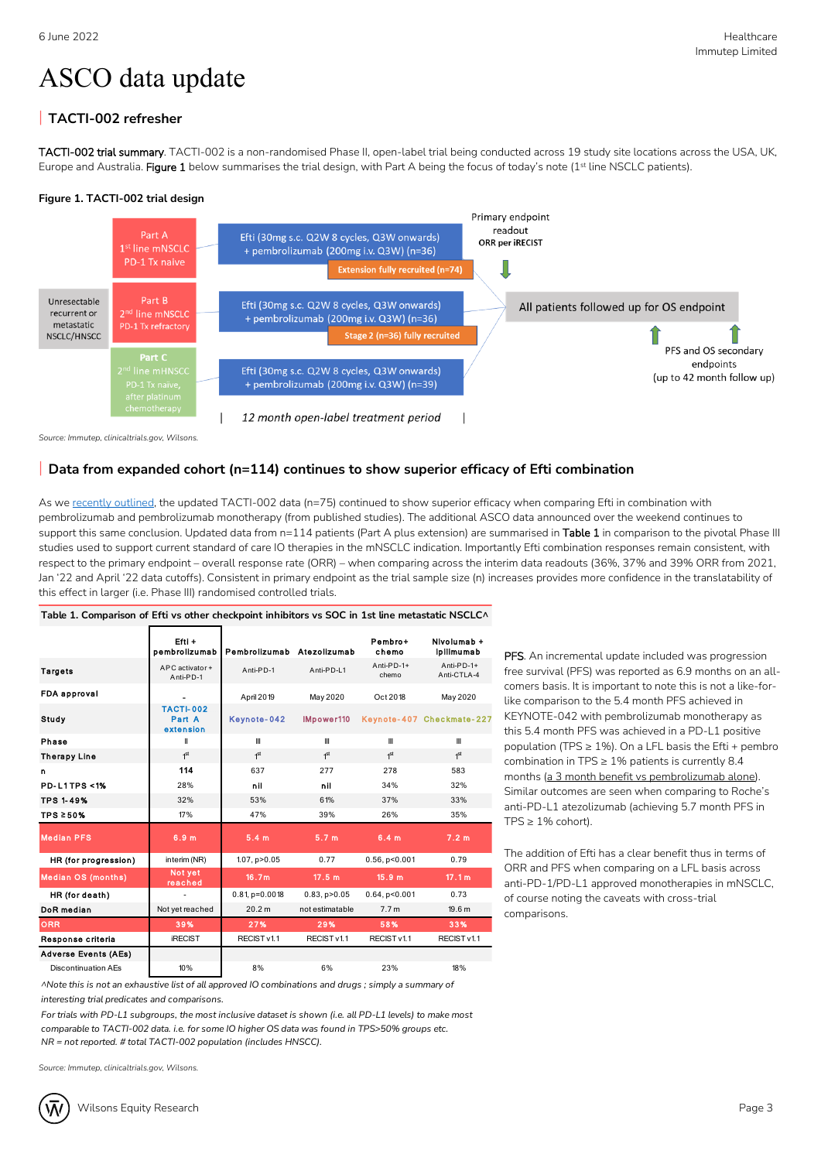# ASCO data update

# **TACTI-002 refresher**

**TACTI-002 trial summary**. TACTI-002 is a non-randomised Phase II, open-label trial being conducted across 19 study site locations across the USA, UK, Europe and Australia. **Figure 1** below summarises the trial design, with Part A being the focus of today's note (1st line NSCLC patients).

## **Figure 1. TACTI-002 trial design**



*Source: Immutep, clinicaltrials.gov, Wilsons.* 

# **Data from expanded cohort (n=114) continues to show superior efficacy of Efti combination**

As we [recently outlined,](https://aus01.safelinks.protection.outlook.com/?url=https%3A%2F%2Fwilp.hosting.factset.com%2FPARTNERS_TD_TRACK%2Fexternal%2Fdownload%3Fq%3D28ce91fe94e72cf8eb88d3876dda6584e9ad8ba8aEsOs1cEz_HCbJwW55HEjeBZWIKGNNn8uaStFjCWMpGjPEM-oBuoX-4jMkNp2GqE6dYKtSVu3_b_JNw0MaHBtzeaMSbeI08sNDdcEvzEeCuC26TteI7iXn1cLZB-Ncw50aZyakshYDtqIgroYGQgbfklAEylBv3XC661NSOhHCo00zwK3ikmWmreP95iiokiQZhWXRHkGLSTKHy_2QG-83A%252C%252C&data=05%7C01%7CMelissa.Benson%40wilsonsadvisory.com.au%7C4770595d4023430b8cb108da3f7482fc%7Ce636eee95e214de18856a25606230dca%7C0%7C0%7C637892066894615870%7CUnknown%7CTWFpbGZsb3d8eyJWIjoiMC4wLjAwMDAiLCJQIjoiV2luMzIiLCJBTiI6Ik1haWwiLCJXVCI6Mn0%3D%7C3000%7C%7C%7C&sdata=8ZMZVqEdSZIL2olPzDMLWnuuJSDW7dEMZuaJutJGrfw%3D&reserved=0) the updated TACTI-002 data (n=75) continued to show superior efficacy when comparing Efti in combination with pembrolizumab and pembrolizumab monotherapy (from published studies). The additional ASCO data announced over the weekend continues to support this same conclusion. Updated data from n=114 patients (Part A plus extension) are summarised in **Table 1** in comparison to the pivotal Phase III studies used to support current standard of care IO therapies in the mNSCLC indication. Importantly Efti combination responses remain consistent, with respect to the primary endpoint – overall response rate (ORR) – when comparing across the interim data readouts (36%, 37% and 39% ORR from 2021, Jan '22 and April '22 data cutoffs). Consistent in primary endpoint as the trial sample size (n) increases provides more confidence in the translatability of this effect in larger (i.e. Phase III) randomised controlled trials.

| Table 1. Comparison of Efti vs other checkpoint inhibitors vs SOC in 1st line metastatic NSCLC^ |                                         |                            |                     |                      |                           |
|-------------------------------------------------------------------------------------------------|-----------------------------------------|----------------------------|---------------------|----------------------|---------------------------|
|                                                                                                 | $Eftl +$<br>pembrolizumab               | Pembrolizumab Atezolizumab |                     | Pembro+<br>chemo     | Nivolumab +<br>ipilimumab |
| <b>Targets</b>                                                                                  | APC activator+<br>Anti-PD-1             | Anti-PD-1                  | Anti-PD-L1          | Anti-PD-1+<br>chemo  | Anti-PD-1+<br>Anti-CTLA-4 |
| FDA approval                                                                                    |                                         | April 2019                 | May 2020            | Oct 2018             | May 2020                  |
| Study                                                                                           | <b>TACTI-002</b><br>Part A<br>extension | Keynote-042                | IMpower110          |                      | Keynote-407 Checkmate-227 |
| Phase                                                                                           | Ш                                       | Ш                          | Ш                   | $\mathbf{m}$         | Ш                         |
| <b>Therapy Line</b>                                                                             | 1 <sup>st</sup>                         | 1 <sup>st</sup>            | 1 <sup>st</sup>     | 1 <sup>st</sup>      | 1 <sup>st</sup>           |
| n                                                                                               | 114                                     | 637                        | 277                 | 278                  | 583                       |
| <b>PD-L1TPS &lt;1%</b>                                                                          | 28%                                     | nil                        | nil                 | 34%                  | 32%                       |
| <b>TPS 1-49%</b>                                                                                | 32%                                     | 53%                        | 61%                 | 37%                  | 33%                       |
| TPS ≥50%                                                                                        | 17%                                     | 47%                        | 39%                 | 26%                  | 35%                       |
| <b>Median PFS</b>                                                                               | 6.9 <sub>m</sub>                        | 5.4 <sub>m</sub>           | 5.7 <sub>m</sub>    | 6.4 <sub>m</sub>     | 7.2 <sub>m</sub>          |
| HR (for progression)                                                                            | interim (NR)                            | $1.07$ , $p > 0.05$        | 0.77                | $0.56$ , $p < 0.001$ | 0.79                      |
| <b>Median OS (months)</b>                                                                       | Not yet<br>reached                      | 16.7m                      | 17.5 m              | 15.9 m               | 17.1 m                    |
| HR (for death)                                                                                  |                                         | $0.81$ , $p=0.0018$        | $0.83$ , $p > 0.05$ | $0.64$ , $p < 0.001$ | 0.73                      |
| DoR median                                                                                      | Not yet reached                         | 20.2 m                     | not estimatable     | 7.7 <sub>m</sub>     | 19.6 m                    |
| <b>ORR</b>                                                                                      | 39%                                     | 27%                        | 29%                 | 58%                  | 33%                       |
| Response criteria                                                                               | <b>iRECIST</b>                          | RECIST v1.1                | RECIST v1.1         | RECIST v1.1          | RECIST v1.1               |
| <b>Adverse Events (AEs)</b>                                                                     |                                         |                            |                     |                      |                           |
| <b>Discontinuation AEs</b>                                                                      | 10%                                     | 8%                         | 6%                  | 23%                  | 18%                       |

ANote this is not an exhaustive list of all approved IO combinations and drugs ; simply a summary of *interesting trial predicates and comparisons.*

For trials with PD-L1 subgroups, the most inclusive dataset is shown (i.e. all PD-L1 levels) to make most *comparable to TACTI-002 data. i.e. for some IO higher OS data was found in TPS>50% groups etc. NR = not reported. # total TACTI-002 population (includes HNSCC).*

*Source: Immutep, clinicaltrials.gov, Wilsons.* 

**PFS**. An incremental update included was progression free survival (PFS) was reported as 6.9 months on an allcomers basis. It is important to note this is not a like-forlike comparison to the 5.4 month PFS achieved in KEYNOTE-042 with pembrolizumab monotherapy as this 5.4 month PFS was achieved in a PD-L1 positive population (TPS  $\geq$  1%). On a LFL basis the Efti + pembro combination in TPS  $\geq 1\%$  patients is currently 8.4 months (a 3 month benefit vs pembrolizumab alone). Similar outcomes are seen when comparing to Roche's anti-PD-L1 atezolizumab (achieving 5.7 month PFS in  $TPS \geq 1\%$  cohort).

The addition of Efti has a clear benefit thus in terms of ORR and PFS when comparing on a LFL basis across anti-PD-1/PD-L1 approved monotherapies in mNSCLC, of course noting the caveats with cross-trial comparisons.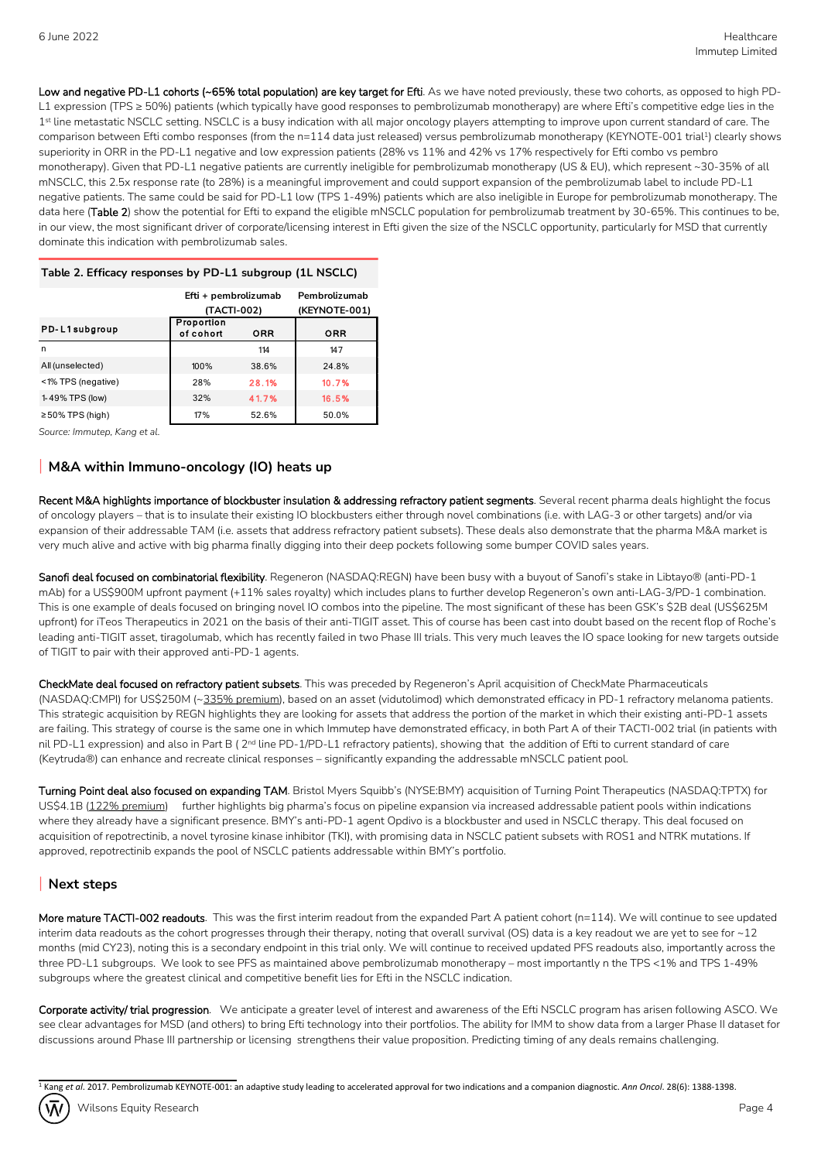**Low and negative PD-L1 cohorts (~65% total population) are key target for Efti**. As we have noted previously, these two cohorts, as opposed to high PD-L1 expression (TPS ≥ 50%) patients (which typically have good responses to pembrolizumab monotherapy) are where Efti's competitive edge lies in the 1 st line metastatic NSCLC setting. NSCLC is a busy indication with all major oncology players attempting to improve upon current standard of care. The comparison between Efti combo responses (from the n=114 data just released) versus pembrolizumab monotherapy (KEYNOTE-001 trial½) clearly shows superiority in ORR in the PD-L1 negative and low expression patients (28% vs 11% and 42% vs 17% respectively for Efti combo vs pembro monotherapy). Given that PD-L1 negative patients are currently ineligible for pembrolizumab monotherapy (US & EU), which represent ~30-35% of all mNSCLC, this 2.5x response rate (to 28%) is a meaningful improvement and could support expansion of the pembrolizumab label to include PD-L1 negative patients. The same could be said for PD-L1 low (TPS 1-49%) patients which are also ineligible in Europe for pembrolizumab monotherapy. The data here (**Table 2**) show the potential for Efti to expand the eligible mNSCLC population for pembrolizumab treatment by 30-65%. This continues to be, in our view, the most significant driver of corporate/licensing interest in Efti given the size of the NSCLC opportunity, particularly for MSD that currently dominate this indication with pembrolizumab sales.

### **Table 2. Efficacy responses by PD-L1 subgroup (1L NSCLC)**

|                       | Efti + pembrolizumab    |            | Pembrolizumab |
|-----------------------|-------------------------|------------|---------------|
|                       | (TACTI-002)             |            | (KEYNOTE-001) |
| PD-L1subgroup         | Proportion<br>of cohort | <b>ORR</b> | <b>ORR</b>    |
| n                     |                         | 114        | 147           |
| All (unselected)      | 100%                    | 38.6%      | 24.8%         |
| <1% TPS (negative)    | 28%                     | 28.1%      | 10.7%         |
| 1-49% TPS (low)       | 32%                     | 41.7%      | 16.5%         |
| $\geq$ 50% TPS (high) | 17%                     | 52.6%      | 50.0%         |

*Source: Immutep, Kang et al.* 

# **M&A within Immuno-oncology (IO) heats up**

**Recent M&A highlights importance of blockbuster insulation & addressing refractory patient segments**. Several recent pharma deals highlight the focus of oncology players – that is to insulate their existing IO blockbusters either through novel combinations (i.e. with LAG-3 or other targets) and/or via expansion of their addressable TAM (i.e. assets that address refractory patient subsets). These deals also demonstrate that the pharma M&A market is very much alive and active with big pharma finally digging into their deep pockets following some bumper COVID sales years.

**Sanofi deal focused on combinatorial flexibility**. Regeneron (NASDAQ:REGN) have been busy with a buyout of Sanofi's stake in Libtayo® (anti-PD-1 mAb) for a US\$900M upfront payment (+11% sales royalty) which includes plans to further develop Regeneron's own anti-LAG-3/PD-1 combination. This is one example of deals focused on bringing novel IO combos into the pipeline. The most significant of these has been GSK's \$2B deal (US\$625M upfront) for iTeos Therapeutics in 2021 on the basis of their anti-TIGIT asset. This of course has been cast into doubt based on the recent flop of Roche's leading anti-TIGIT asset, tiragolumab, which has recently failed in two Phase III trials. This very much leaves the IO space looking for new targets outside of TIGIT to pair with their approved anti-PD-1 agents.

**CheckMate deal focused on refractory patient subsets**. This was preceded by Regeneron's April acquisition of CheckMate Pharmaceuticals (NASDAQ:CMPI) for US\$250M (~335% premium), based on an asset (vidutolimod) which demonstrated efficacy in PD-1 refractory melanoma patients. This strategic acquisition by REGN highlights they are looking for assets that address the portion of the market in which their existing anti-PD-1 assets are failing. This strategy of course is the same one in which Immutep have demonstrated efficacy, in both Part A of their TACTI-002 trial (in patients with nil PD-L1 expression) and also in Part B (2<sup>nd</sup> line PD-1/PD-L1 refractory patients), showing that the addition of Efti to current standard of care (Keytruda®) can enhance and recreate clinical responses – significantly expanding the addressable mNSCLC patient pool.

**Turning Point deal also focused on expanding TAM**. Bristol Myers Squibb's (NYSE:BMY) acquisition of Turning Point Therapeutics (NASDAQ:TPTX) for US\$4.1B (122% premium) further highlights big pharma's focus on pipeline expansion via increased addressable patient pools within indications where they already have a significant presence. BMY's anti-PD-1 agent Opdivo is a blockbuster and used in NSCLC therapy. This deal focused on acquisition of repotrectinib, a novel tyrosine kinase inhibitor (TKI), with promising data in NSCLC patient subsets with ROS1 and NTRK mutations. If approved, repotrectinib expands the pool of NSCLC patients addressable within BMY's portfolio.

# **Next steps**

**More mature TACTI-002 readouts**. This was the first interim readout from the expanded Part A patient cohort (n=114). We will continue to see updated interim data readouts as the cohort progresses through their therapy, noting that overall survival (OS) data is a key readout we are yet to see for ~12 months (mid CY23), noting this is a secondary endpoint in this trial only. We will continue to received updated PFS readouts also, importantly across the three PD-L1 subgroups. We look to see PFS as maintained above pembrolizumab monotherapy – most importantly n the TPS <1% and TPS 1-49% subgroups where the greatest clinical and competitive benefit lies for Efti in the NSCLC indication.

**Corporate activity/ trial progression**. We anticipate a greater level of interest and awareness of the Efti NSCLC program has arisen following ASCO. We see clear advantages for MSD (and others) to bring Efti technology into their portfolios. The ability for IMM to show data from a larger Phase II dataset for discussions around Phase III partnership or licensing strengthens their value proposition. Predicting timing of any deals remains challenging.